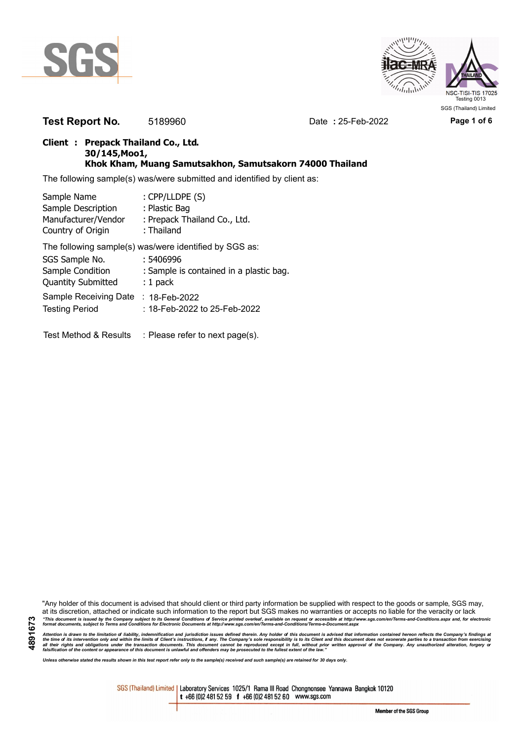



**Test Report No.** 5189960 Date **:** 25-Feb-2022 Page 1 of 6

## **Client : Prepack Thailand Co., Ltd. 30/145,Moo1, Khok Kham, Muang Samutsakhon, Samutsakorn 74000 Thailand**

The following sample(s) was/were submitted and identified by client as:

| Sample Name               | : CPP/LLDPE (S)                                        |
|---------------------------|--------------------------------------------------------|
| Sample Description        | : Plastic Bag                                          |
| Manufacturer/Vendor       | : Prepack Thailand Co., Ltd.                           |
| Country of Origin         | : Thailand                                             |
|                           | The following sample(s) was/were identified by SGS as: |
| SGS Sample No.            | : 5406996                                              |
| Sample Condition          | : Sample is contained in a plastic bag.                |
| <b>Quantity Submitted</b> | $: 1$ pack                                             |
| Sample Receiving Date     | : $18$ -Feb-2022                                       |
| <b>Testing Period</b>     | :18-Feb-2022 to 25-Feb-2022                            |
|                           |                                                        |
|                           |                                                        |

Test Method & Results : Please refer to next page(s).

"Any holder of this document is advised that should client or third party information be supplied with respect to the goods or sample, SGS may, at its discretion, attached or indicate such information to the report but SGS makes no warranties or accepts no liable for the veracity or lack "This document is issued by the Company subject to its General Conditions of Service printed overleaf, available on request or accessible at http://www.sgs.com/en/Terms-and-Conditions.aspx and, for electronic<br>format docume

Attention is drawn to the limitation of liability, indemnification and jurisdiction issues defined therein. Any holder of this document is advised that information contained hereon reflects the Company's findings at<br>all th

*Unless otherwise stated the results shown in this test report refer only to the sample(s) received and such sample(s) are retained for 30 days only.*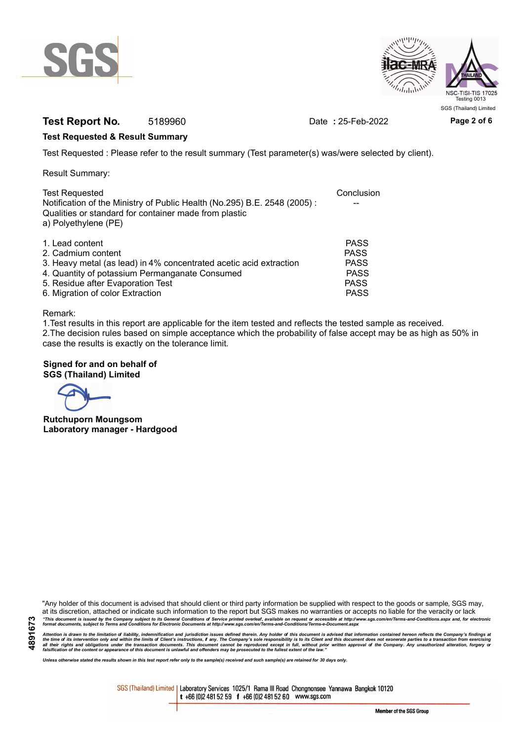



# **Test Report No.** 5189960 Date **:** 25-Feb-2022 Page 2 of 6

## **Test Requested & Result Summary**

Test Requested : Please refer to the result summary (Test parameter(s) was/were selected by client).

Result Summary:

| <b>Test Requested</b>                                                                                                                                     | Conclusion  |
|-----------------------------------------------------------------------------------------------------------------------------------------------------------|-------------|
| Notification of the Ministry of Public Health (No.295) B.E. 2548 (2005):<br>Qualities or standard for container made from plastic<br>a) Polyethylene (PE) |             |
|                                                                                                                                                           |             |
| 1. Lead content                                                                                                                                           | <b>PASS</b> |
| 2. Cadmium content                                                                                                                                        | <b>PASS</b> |
| 3. Heavy metal (as lead) in 4% concentrated acetic acid extraction                                                                                        | <b>PASS</b> |
| 4. Quantity of potassium Permanganate Consumed                                                                                                            | <b>PASS</b> |
| 5. Residue after Evaporation Test                                                                                                                         | <b>PASS</b> |
| 6. Migration of color Extraction                                                                                                                          | <b>PASS</b> |

#### Remark:

1.Test results in this report are applicable for the item tested and reflects the tested sample as received. 2.The decision rules based on simple acceptance which the probability of false accept may be as high as 50% in case the results is exactly on the tolerance limit.

## **Signed for and on behalf of SGS (Thailand) Limited**

**Rutchuporn Moungsom Laboratory manager - Hardgood**

"Any holder of this document is advised that should client or third party information be supplied with respect to the goods or sample, SGS may, at its discretion, attached or indicate such information to the report but SGS makes no warranties or accepts no liable for the veracity or lack "This document is issued by the Company subject to its General Conditions of Service printed overleaf, available on request or accessible at http://www.sgs.com/en/Terms-and-Conditions.aspx and, for electronic<br>format docume

Attention is drawn to the limitation of liability, indemnification and jurisdiction issues defined therein. Any holder of this document is advised that information contained hereon reflects the Company's findings at<br>all th

*Unless otherwise stated the results shown in this test report refer only to the sample(s) received and such sample(s) are retained for 30 days only.*

SGS (Thailand) Limited | Laboratory Services 1025/1 Rama III Road Chongnonsee Yannawa Bangkok 10120 t +66 (0)2 481 52 59 f +66 (0)2 481 52 60 www.sgs.com

Member of the SGS Group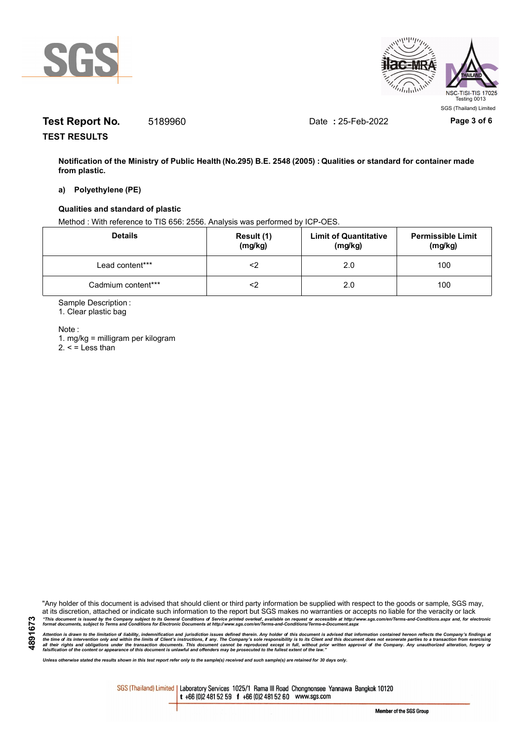



# **Test Report No.** 5189960 Date **:** 25-Feb-2022 Page 3 of 6

**TEST RESULTS**

**Notification of the Ministry of Public Health (No.295) B.E. 2548 (2005) : Qualities or standard for container made from plastic.**

#### **a) Polyethylene (PE)**

## **Qualities and standard of plastic**

Method : With reference to TIS 656: 2556. Analysis was performed by ICP-OES.

| <b>Details</b>     | Result (1)<br>(mg/kg) | <b>Limit of Quantitative</b><br>(mg/kg) | <b>Permissible Limit</b><br>(mg/kg) |
|--------------------|-----------------------|-----------------------------------------|-------------------------------------|
| Lead content***    |                       | 2.0                                     | 100                                 |
| Cadmium content*** |                       | 2.0                                     | 100                                 |

Sample Description :

1. Clear plastic bag

Note :

1. mg/kg = milligram per kilogram  $2. <$  = Less than

"Any holder of this document is advised that should client or third party information be supplied with respect to the goods or sample, SGS may, at its discretion, attached or indicate such information to the report but SGS makes no warranties or accepts no liable for the veracity or lack "This document is issued by the Company subject to its General Conditions of Service printed overleaf, available on request or accessible at http://www.sgs.com/en/Terms-and-Conditions.aspx and, for electronic<br>format docume

Attention is drawn to the limitation of liability, indemnification and jurisdiction issues defined therein. Any holder of this document is advised that information contained hereon reflects the Company's findings at<br>all th

*Unless otherwise stated the results shown in this test report refer only to the sample(s) received and such sample(s) are retained for 30 days only.*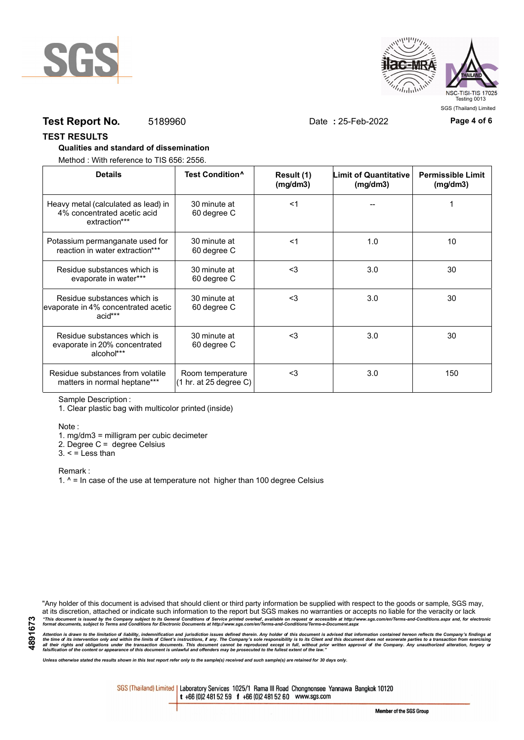



# **Test Report No.** 5189960 Date **:** 25-Feb-2022 Page 4 of 6

#### **TEST RESULTS**

### **Qualities and standard of dissemination**

Method : With reference to TIS 656: 2556.

| <b>Details</b>                                                                      | Test Condition <sup>^</sup>                | Result (1)<br>(mq/dm3) | <b>Limit of Quantitative</b><br>(mg/dm3) | <b>Permissible Limit</b><br>(mg/dm3) |
|-------------------------------------------------------------------------------------|--------------------------------------------|------------------------|------------------------------------------|--------------------------------------|
| Heavy metal (calculated as lead) in<br>4% concentrated acetic acid<br>extraction*** | 30 minute at<br>60 degree C                | $<$ 1                  |                                          |                                      |
| Potassium permanganate used for<br>reaction in water extraction***                  | 30 minute at<br>60 degree C                | $<$ 1                  | 1.0                                      | 10                                   |
| Residue substances which is<br>evaporate in water***                                | 30 minute at<br>60 degree C                | $3$                    | 3.0                                      | 30                                   |
| Residue substances which is<br>evaporate in 4% concentrated acetic<br>acid***       | 30 minute at<br>60 degree C                | $<$ 3                  | 3.0                                      | 30                                   |
| Residue substances which is<br>evaporate in 20% concentrated<br>alcohol***          | 30 minute at<br>60 degree C                | $3$                    | 3.0                                      | 30                                   |
| Residue substances from volatile<br>matters in normal heptane***                    | Room temperature<br>(1 hr. at 25 degree C) | $3$                    | 3.0                                      | 150                                  |

Sample Description :

1. Clear plastic bag with multicolor printed (inside)

Note :

1. mg/dm3 = milligram per cubic decimeter

2. Degree C = degree Celsius

 $3. <$  = Less than

Remark :

1.  $^{\circ}$  = In case of the use at temperature not higher than 100 degree Celsius

"Any holder of this document is advised that should client or third party information be supplied with respect to the goods or sample, SGS may, at its discretion, attached or indicate such information to the report but SGS makes no warranties or accepts no liable for the veracity or lack "This document is issued by the Company subject to its General Conditions of Service printed overleaf, available on request or accessible at http://www.sgs.com/en/Terms-and-Conditions.aspx and, for electronic<br>format docume

Attention is drawn to the limitation of liability, indemnification and jurisdiction issues defined therein. Any holder of this document is advised that information contained hereon reflects the Company's findings at<br>all th

*Unless otherwise stated the results shown in this test report refer only to the sample(s) received and such sample(s) are retained for 30 days only.*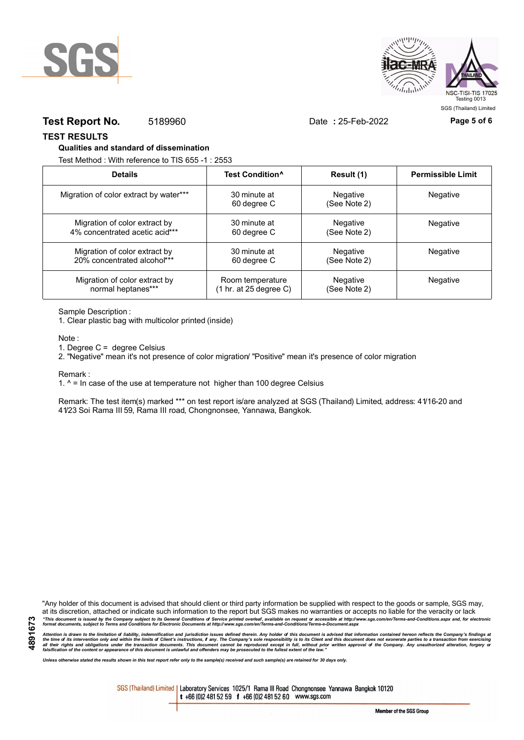



# **Test Report No.** 5189960 Date **:** 25-Feb-2022 Page 5 of 6

**TEST RESULTS**

#### **Qualities and standard of dissemination**

Test Method : With reference to TIS 655 -1 : 2553

| <b>Details</b>                         | Test Condition <sup>^</sup>               | Result (1)               | <b>Permissible Limit</b> |
|----------------------------------------|-------------------------------------------|--------------------------|--------------------------|
| Migration of color extract by water*** | 30 minute at<br>60 degree C               | Negative<br>(See Note 2) | Negative                 |
| Migration of color extract by          | 30 minute at                              | Negative                 | Negative                 |
| 4% concentrated acetic acid***         | 60 degree C                               | (See Note 2)             |                          |
| Migration of color extract by          | 30 minute at                              | Negative                 | Negative                 |
| 20% concentrated alcohol***            | 60 degree C                               | (See Note 2)             |                          |
| Migration of color extract by          | Room temperature                          | Negative                 | <b>Negative</b>          |
| normal heptanes***                     | $(1 \text{ hr. at } 25 \text{ degree C})$ | (See Note 2)             |                          |

Sample Description :

1. Clear plastic bag with multicolor printed (inside)

Note :

1. Degree C = degree Celsius

2. "Negative" mean it's not presence of color migration/ "Positive" mean it's presence of color migration

Remark :

1.  $^{\circ}$  = In case of the use at temperature not higher than 100 degree Celsius

Remark: The test item(s) marked \*\*\* on test report is/are analyzed at SGS (Thailand) Limited, address: 41/16-20 and 41/23 Soi Rama III 59, Rama III road, Chongnonsee, Yannawa, Bangkok.

**4891673**

"Any holder of this document is advised that should client or third party information be supplied with respect to the goods or sample, SGS may, at its discretion, attached or indicate such information to the report but SGS makes no warranties or accepts no liable for the veracity or lack "This document is issued by the Company subject to its General Conditions of Service printed overleaf, available on request or accessible at http://www.sgs.com/en/Terms-and-Conditions.aspx and, for electronic<br>format docume

Attention is drawn to the limitation of liability, indemnification and jurisdiction issues defined therein. Any holder of this document is advised that information contained hereon reflects the Company's findings at<br>all th

*Unless otherwise stated the results shown in this test report refer only to the sample(s) received and such sample(s) are retained for 30 days only.*